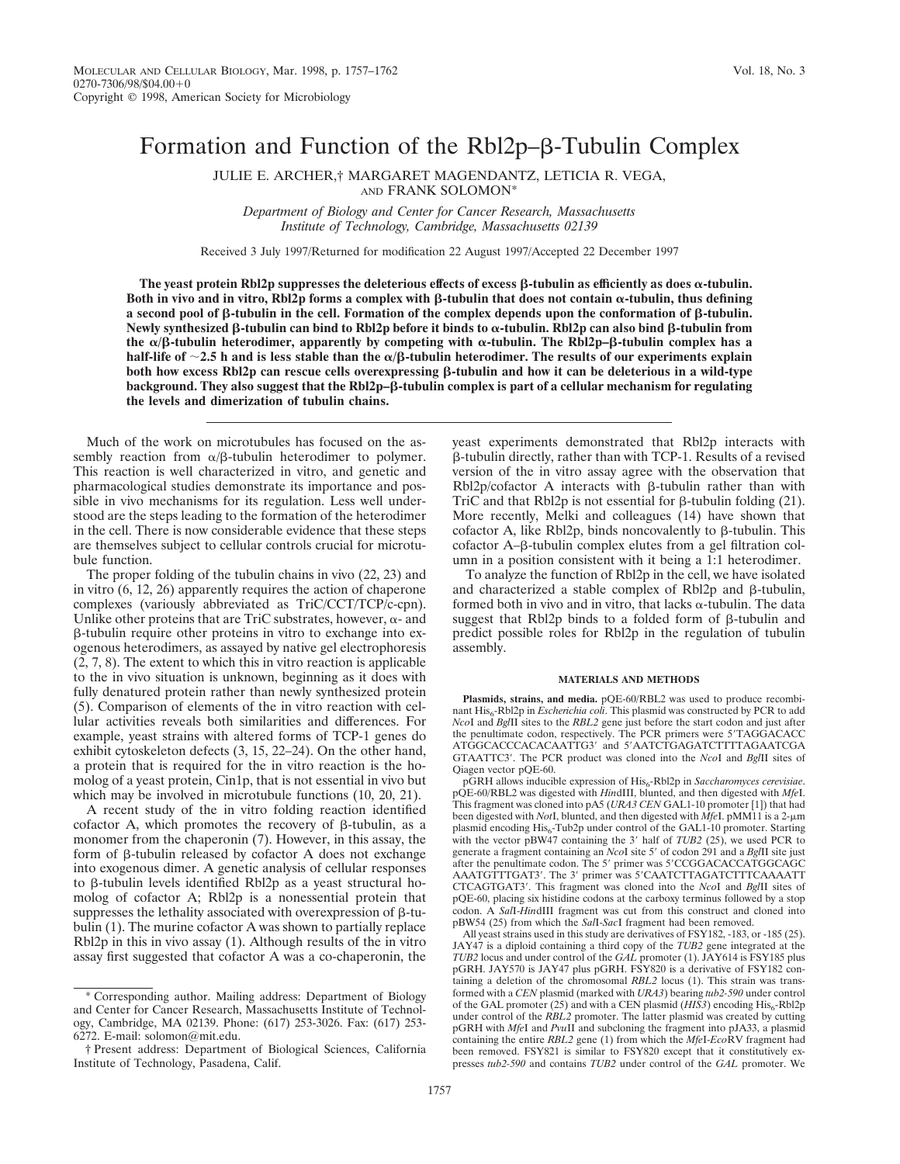# Formation and Function of the Rbl2p– $\beta$ -Tubulin Complex

JULIE E. ARCHER,† MARGARET MAGENDANTZ, LETICIA R. VEGA,

AND FRANK SOLOMON\*

*Department of Biology and Center for Cancer Research, Massachusetts Institute of Technology, Cambridge, Massachusetts 02139*

Received 3 July 1997/Returned for modification 22 August 1997/Accepted 22 December 1997

The yeast protein Rbl2p suppresses the deleterious effects of excess  $\beta$ -tubulin as efficiently as does  $\alpha$ -tubulin. **Both in vivo and in vitro, Rbl2p forms a complex with**  $\beta$ **-tubulin that does not contain**  $\alpha$ **-tubulin, thus defining a** second pool of  $\beta$ -tubulin in the cell. Formation of the complex depends upon the conformation of  $\beta$ -tubulin. **Newly synthesized** b**-tubulin can bind to Rbl2p before it binds to** a**-tubulin. Rbl2p can also bind** b**-tubulin from the**  $\alpha/\beta$ -tubulin heterodimer, apparently by competing with  $\alpha$ -tubulin. The Rbl2p– $\beta$ -tubulin complex has a **half-life of**  $\sim$ 2.5 h and is less stable than the  $\alpha$ / $\beta$ -tubulin heterodimer. The results of our experiments explain **both how excess Rbl2p can rescue cells overexpressing** b**-tubulin and how it can be deleterious in a wild-type** background. They also suggest that the Rbl2p– $\beta$ -tubulin complex is part of a cellular mechanism for regulating **the levels and dimerization of tubulin chains.**

Much of the work on microtubules has focused on the assembly reaction from  $\alpha/\beta$ -tubulin heterodimer to polymer. This reaction is well characterized in vitro, and genetic and pharmacological studies demonstrate its importance and possible in vivo mechanisms for its regulation. Less well understood are the steps leading to the formation of the heterodimer in the cell. There is now considerable evidence that these steps are themselves subject to cellular controls crucial for microtubule function.

The proper folding of the tubulin chains in vivo (22, 23) and in vitro (6, 12, 26) apparently requires the action of chaperone complexes (variously abbreviated as TriC/CCT/TCP/c-cpn). Unlike other proteins that are TriC substrates, however,  $\alpha$ - and  $\beta$ -tubulin require other proteins in vitro to exchange into exogenous heterodimers, as assayed by native gel electrophoresis (2, 7, 8). The extent to which this in vitro reaction is applicable to the in vivo situation is unknown, beginning as it does with fully denatured protein rather than newly synthesized protein (5). Comparison of elements of the in vitro reaction with cellular activities reveals both similarities and differences. For example, yeast strains with altered forms of TCP-1 genes do exhibit cytoskeleton defects (3, 15, 22–24). On the other hand, a protein that is required for the in vitro reaction is the homolog of a yeast protein, Cin1p, that is not essential in vivo but which may be involved in microtubule functions  $(10, 20, 21)$ .

A recent study of the in vitro folding reaction identified cofactor A, which promotes the recovery of  $\beta$ -tubulin, as a monomer from the chaperonin (7). However, in this assay, the form of  $\beta$ -tubulin released by cofactor A does not exchange into exogenous dimer. A genetic analysis of cellular responses to  $\beta$ -tubulin levels identified Rbl2p as a yeast structural homolog of cofactor A; Rbl2p is a nonessential protein that suppresses the lethality associated with overexpression of  $\beta$ -tubulin (1). The murine cofactor A was shown to partially replace Rbl2p in this in vivo assay (1). Although results of the in vitro assay first suggested that cofactor A was a co-chaperonin, the yeast experiments demonstrated that Rbl2p interacts with b-tubulin directly, rather than with TCP-1. Results of a revised version of the in vitro assay agree with the observation that  $Rb12p/cofactor A$  interacts with  $\beta$ -tubulin rather than with TriC and that Rbl2p is not essential for  $\beta$ -tubulin folding (21). More recently, Melki and colleagues (14) have shown that cofactor A, like Rbl2p, binds noncovalently to  $\beta$ -tubulin. This cofactor A–β-tubulin complex elutes from a gel filtration column in a position consistent with it being a 1:1 heterodimer.

To analyze the function of Rbl2p in the cell, we have isolated and characterized a stable complex of Rbl $2p$  and  $\beta$ -tubulin, formed both in vivo and in vitro, that lacks  $\alpha$ -tubulin. The data suggest that Rbl2p binds to a folded form of  $\beta$ -tubulin and predict possible roles for Rbl2p in the regulation of tubulin assembly.

### **MATERIALS AND METHODS**

**Plasmids, strains, and media.** pQE-60/RBL2 was used to produce recombinant His<sub>6</sub>-Rbl2p in *Escherichia coli*. This plasmid was constructed by PCR to add *NcoI* and *BglII* sites to the *RBL2* gene just before the start codon and just after the penultimate codon, respectively. The PCR primers were 5'TAGGACACC ATGGCACCCACACAATTG3' and 5'AATCTGAGATCTTTTAGAATCGA GTAATTC3'. The PCR product was cloned into the *NcoI* and *BglII* sites of Qiagen vector pQE-60.

pGRH allows inducible expression of His<sub>6</sub>-Rbl2p in *Saccharomyces cerevisiae*. pQE-60/RBL2 was digested with *Hin*dIII, blunted, and then digested with *Mfe*I. This fragment was cloned into pA5 (*URA3 CEN* GAL1-10 promoter [1]) that had been digested with *Not*I, blunted, and then digested with *MfeI*. pMM11 is a 2-μm plasmid encoding His<sub>6</sub>-Tub2p under control of the GAL1-10 promoter. Starting with the vector  $pBW47$  containing the 3' half of *TUB2* (25), we used PCR to generate a fragment containing an *Nco*I site 5' of codon 291 and a *BglII* site just after the penultimate codon. The 5' primer was 5'CCGGACACCATGGCAGC AAATGTTTGAT3'. The 3' primer was 5'CAATCTTAGATCTTTCAAAATT CTCAGTGAT3'. This fragment was cloned into the *NcoI* and *BglII* sites of pQE-60, placing six histidine codons at the carboxy terminus followed by a stop codon. A *Sal*I-*Hin*dIII fragment was cut from this construct and cloned into pBW54 (25) from which the *Sal*I-*Sac*I fragment had been removed.

All yeast strains used in this study are derivatives of FSY182, -183, or -185 (25). JAY47 is a diploid containing a third copy of the *TUB2* gene integrated at the *TUB2* locus and under control of the *GAL* promoter (1). JAY614 is FSY185 plus pGRH. JAY570 is JAY47 plus pGRH. FSY820 is a derivative of FSY182 containing a deletion of the chromosomal *RBL2* locus (1). This strain was transformed with a *CEN* plasmid (marked with *URA3*) bearing *tub2-590* under control of the GAL promoter (25) and with a CEN plasmid ( $HIS3$ ) encoding  $His<sub>6</sub> - Rb12p$ under control of the *RBL*<sub>2</sub> promoter. The latter plasmid was created by cutting pGRH with *Mfe*I and *Pvu*II and subcloning the fragment into pJA33, a plasmid containing the entire *RBL2* gene (1) from which the *Mfe*I-*Eco*RV fragment had been removed. FSY821 is similar to FSY820 except that it constitutively expresses *tub2-590* and contains *TUB2* under control of the *GAL* promoter. We

<sup>\*</sup> Corresponding author. Mailing address: Department of Biology and Center for Cancer Research, Massachusetts Institute of Technology, Cambridge, MA 02139. Phone: (617) 253-3026. Fax: (617) 253- 6272. E-mail: solomon@mit.edu.

<sup>†</sup> Present address: Department of Biological Sciences, California Institute of Technology, Pasadena, Calif.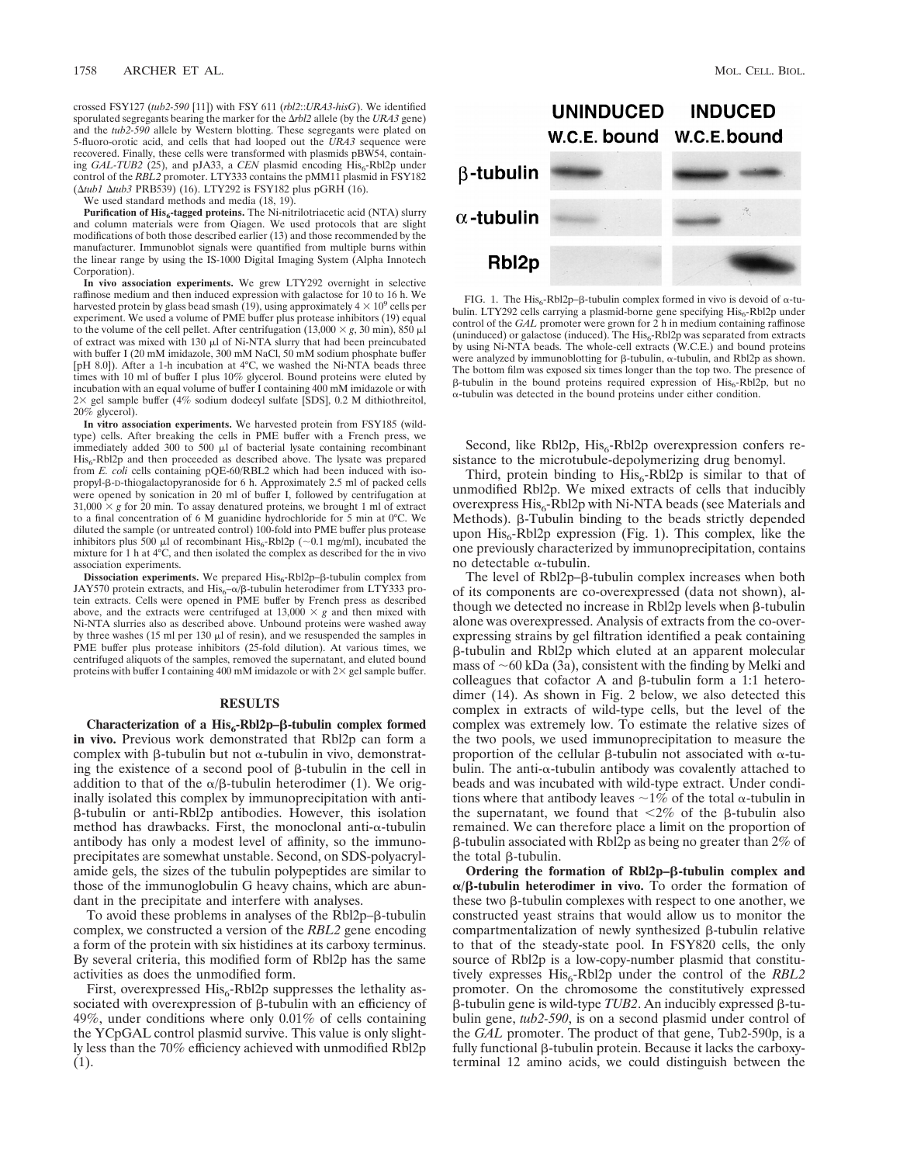crossed FSY127 (*tub2-590* [11]) with FSY 611 (*rbl2*::*URA3-hisG*). We identified sporulated segregants bearing the marker for the D*rbl2* allele (by the *URA3* gene) and the *tub2-590* allele by Western blotting. These segregants were plated on 5-fluoro-orotic acid, and cells that had looped out the *URA3* sequence were recovered. Finally, these cells were transformed with plasmids pBW54, containing *GAL-TUB2* (25), and pJA33, a *CEN* plasmid encoding His<sub>6</sub>-Rbl2p under control of the *RBL2* promoter. LTY333 contains the pMM11 plasmid in FSY182 (Δtub1 Δtub3 PRB539) (16). LTY292 is FSY182 plus pGRH (16).

We used standard methods and media  $(18, 19)$ .

Purification of His<sub>6</sub>-tagged proteins. The Ni-nitrilotriacetic acid (NTA) slurry and column materials were from Qiagen. We used protocols that are slight modifications of both those described earlier (13) and those recommended by the manufacturer. Immunoblot signals were quantified from multiple burns within the linear range by using the IS-1000 Digital Imaging System (Alpha Innotech Corporation).

**In vivo association experiments.** We grew LTY292 overnight in selective raffinose medium and then induced expression with galactose for 10 to 16 h. We harvested protein by glass bead smash (19), using approximately  $4 \times 10^9$  cells per experiment. We used a volume of PME buffer plus protease inhibitors (19) equal to the volume of the cell pellet. After centrifugation  $(13,000 \times g, 30 \text{ min})$ ,  $850 \mu$ l of extract was mixed with  $130 \mu l$  of Ni-NTA slurry that had been preincubated with buffer I (20 mM imidazole, 300 mM NaCl, 50 mM sodium phosphate buffer [pH 8.0]). After a 1-h incubation at 4°C, we washed the Ni-NTA beads three times with 10 ml of buffer I plus 10% glycerol. Bound proteins were eluted by incubation with an equal volume of buffer I containing 400 mM imidazole or with  $2\times$  gel sample buffer (4% sodium dodecyl sulfate [SDS], 0.2 M dithiothreitol, 20% glycerol).

**In vitro association experiments.** We harvested protein from FSY185 (wildtype) cells. After breaking the cells in PME buffer with a French press, we immediately added 300 to 500 ml of bacterial lysate containing recombinant His6-Rbl2p and then proceeded as described above. The lysate was prepared from *E. coli* cells containing pQE-60/RBL2 which had been induced with isopropyl-b-D-thiogalactopyranoside for 6 h. Approximately 2.5 ml of packed cells were opened by sonication in 20 ml of buffer I, followed by centrifugation at  $31,000 \times g$  for 20 min. To assay denatured proteins, we brought 1 ml of extract to a final concentration of 6 M guanidine hydrochloride for 5 min at 0°C. We diluted the sample (or untreated control) 100-fold into PME buffer plus protease inhibitors plus 500  $\mu$ l of recombinant His<sub>6</sub>-Rbl2p (~0.1 mg/ml), incubated the mixture for 1 h at 4°C, and then isolated the complex as described for the in vivo association experiments.

 $Dissection$  experiments. We prepared  $His<sub>6</sub>-Rb12p-β-tubulin complex from$ JAY570 protein extracts, and  $\text{His}_{6}^{-\alpha/\beta}$ -tubulin heterodimer from LTY333 protein extracts. Cells were opened in PME buffer by French press as described above, and the extracts were centrifuged at  $13,000 \times g$  and then mixed with Ni-NTA slurries also as described above. Unbound proteins were washed away by three washes (15 ml per 130  $\mu$ l of resin), and we resuspended the samples in PME buffer plus protease inhibitors (25-fold dilution). At various times, we centrifuged aliquots of the samples, removed the supernatant, and eluted bound proteins with buffer I containing 400 mM imidazole or with  $2\times$  gel sample buffer.

## **RESULTS**

Characterization of a His<sub>6</sub>-Rbl2p–β-tubulin complex formed **in vivo.** Previous work demonstrated that Rbl2p can form a complex with  $\beta$ -tubulin but not  $\alpha$ -tubulin in vivo, demonstrating the existence of a second pool of  $\beta$ -tubulin in the cell in addition to that of the  $\alpha/\beta$ -tubulin heterodimer (1). We originally isolated this complex by immunoprecipitation with antib-tubulin or anti-Rbl2p antibodies. However, this isolation method has drawbacks. First, the monoclonal anti- $\alpha$ -tubulin antibody has only a modest level of affinity, so the immunoprecipitates are somewhat unstable. Second, on SDS-polyacrylamide gels, the sizes of the tubulin polypeptides are similar to those of the immunoglobulin G heavy chains, which are abundant in the precipitate and interfere with analyses.

To avoid these problems in analyses of the  $Rb12p-\beta$ -tubulin complex, we constructed a version of the *RBL2* gene encoding a form of the protein with six histidines at its carboxy terminus. By several criteria, this modified form of Rbl2p has the same activities as does the unmodified form.

First, overexpressed  $His<sub>6</sub>-Rb12p$  suppresses the lethality associated with overexpression of  $\beta$ -tubulin with an efficiency of 49%, under conditions where only 0.01% of cells containing the YCpGAL control plasmid survive. This value is only slightly less than the 70% efficiency achieved with unmodified Rbl2p (1).



FIG. 1. The His<sub>6</sub>-Rbl2p- $\beta$ -tubulin complex formed in vivo is devoid of  $\alpha$ -tubulin. LTY292 cells carrying a plasmid-borne gene specifying  $\mathrm{His}_6\text{-}\mathrm{Rbl2p}$  under control of the *GAL* promoter were grown for 2 h in medium containing raffinose (uninduced) or galactose (induced). The  $His<sub>6</sub>-Rb12p$  was separated from extracts by using Ni-NTA beads. The whole-cell extracts (W.C.E.) and bound proteins were analyzed by immunoblotting for  $\beta$ -tubulin,  $\alpha$ -tubulin, and Rbl2p as shown. The bottom film was exposed six times longer than the top two. The presence of  $\beta$ -tubulin in the bound proteins required expression of His<sub>6</sub>-Rbl2p, but no a-tubulin was detected in the bound proteins under either condition.

Second, like Rbl2p,  $His<sub>6</sub>-Rb12p$  overexpression confers resistance to the microtubule-depolymerizing drug benomyl.

Third, protein binding to  $His<sub>6</sub> - Rbl2p$  is similar to that of unmodified Rbl2p. We mixed extracts of cells that inducibly overexpress  $His<sub>6</sub> - Rb12p$  with Ni-NTA beads (see Materials and Methods). β-Tubulin binding to the beads strictly depended upon  $His<sub>6</sub>$ -Rbl2p expression (Fig. 1). This complex, like the one previously characterized by immunoprecipitation, contains no detectable a-tubulin.

The level of Rbl2p– $\beta$ -tubulin complex increases when both of its components are co-overexpressed (data not shown), although we detected no increase in Rbl2p levels when  $\beta$ -tubulin alone was overexpressed. Analysis of extracts from the co-overexpressing strains by gel filtration identified a peak containing b-tubulin and Rbl2p which eluted at an apparent molecular mass of  $\sim$ 60 kDa (3a), consistent with the finding by Melki and colleagues that cofactor A and  $\beta$ -tubulin form a 1:1 heterodimer (14). As shown in Fig. 2 below, we also detected this complex in extracts of wild-type cells, but the level of the complex was extremely low. To estimate the relative sizes of the two pools, we used immunoprecipitation to measure the proportion of the cellular  $\beta$ -tubulin not associated with  $\alpha$ -tubulin. The anti- $\alpha$ -tubulin antibody was covalently attached to beads and was incubated with wild-type extract. Under conditions where that antibody leaves  $\sim 1\%$  of the total  $\alpha$ -tubulin in the supernatant, we found that  $\langle 2\% \rangle$  of the  $\beta$ -tubulin also remained. We can therefore place a limit on the proportion of  $\beta$ -tubulin associated with Rbl2p as being no greater than 2% of the total  $\beta$ -tubulin.

**Ordering the formation of Rbl2p–**b**-tubulin complex and**  $\alpha/\beta$ -tubulin heterodimer in vivo. To order the formation of these two  $\beta$ -tubulin complexes with respect to one another, we constructed yeast strains that would allow us to monitor the compartmentalization of newly synthesized  $\beta$ -tubulin relative to that of the steady-state pool. In FSY820 cells, the only source of Rbl2p is a low-copy-number plasmid that constitutively expresses His<sub>6</sub>-Rbl2p under the control of the *RBL2* promoter. On the chromosome the constitutively expressed  $\beta$ -tubulin gene is wild-type *TUB2*. An inducibly expressed  $\beta$ -tubulin gene, *tub2-590*, is on a second plasmid under control of the *GAL* promoter. The product of that gene, Tub2-590p, is a fully functional  $\beta$ -tubulin protein. Because it lacks the carboxyterminal 12 amino acids, we could distinguish between the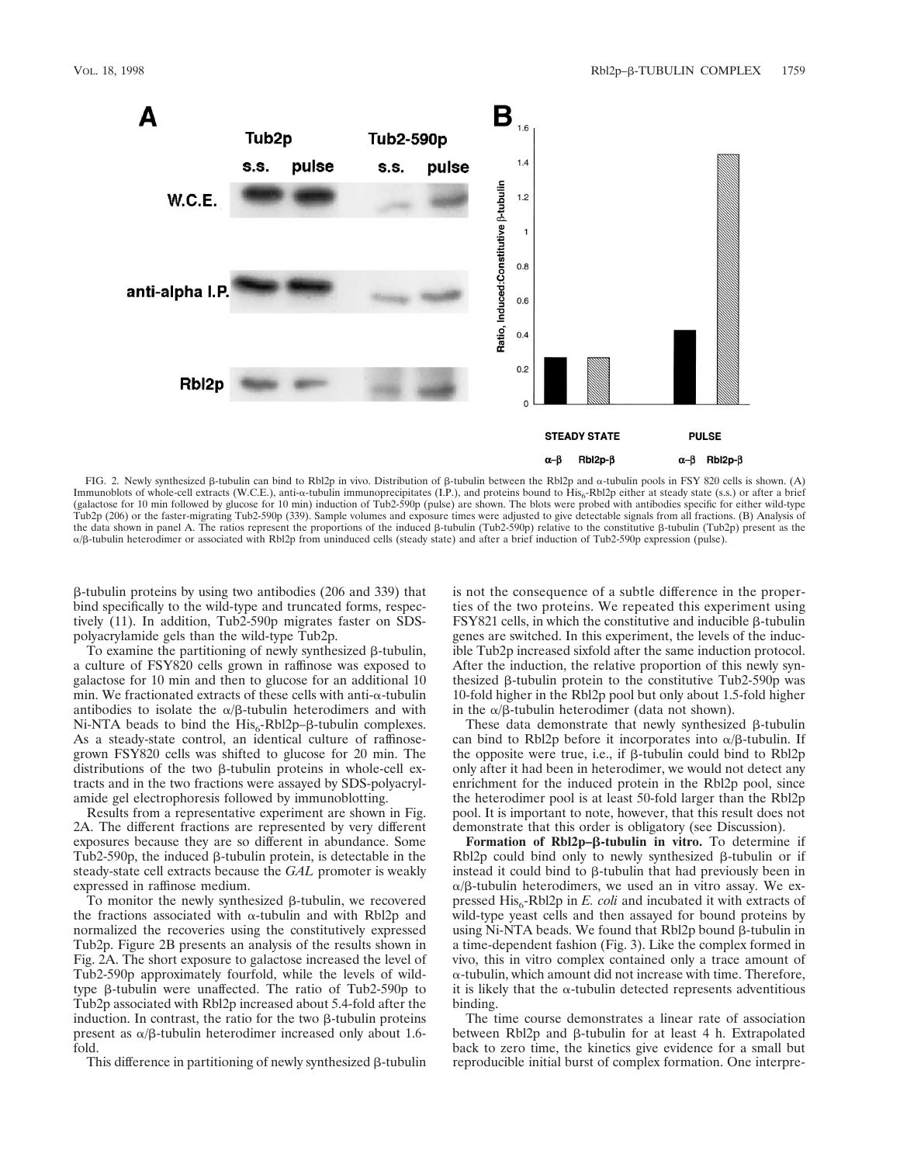

FIG. 2. Newly synthesized  $\beta$ -tubulin can bind to Rbl2p in vivo. Distribution of  $\beta$ -tubulin between the Rbl2p and  $\alpha$ -tubulin pools in FSY 820 cells is shown. (A) Immunoblots of whole-cell extracts (W.C.E.), anti-a-tubulin immunoprecipitates (I.P.), and proteins bound to His<sub>6</sub>-Rbl2p either at steady state (s.s.) or after a brief (galactose for 10 min followed by glucose for 10 min) induction of Tub2-590p (pulse) are shown. The blots were probed with antibodies specific for either wild-type Tub2p (206) or the faster-migrating Tub2-590p (339). Sample volumes and exposure times were adjusted to give detectable signals from all fractions. (B) Analysis of the data shown in panel A. The ratios represent the proportions of the induced β-tubulin (Tub2-590p) relative to the constitutive β-tubulin (Tub2p) present as the a/b-tubulin heterodimer or associated with Rbl2p from uninduced cells (steady state) and after a brief induction of Tub2-590p expression (pulse).

 $\beta$ -tubulin proteins by using two antibodies (206 and 339) that bind specifically to the wild-type and truncated forms, respectively (11). In addition, Tub2-590p migrates faster on SDSpolyacrylamide gels than the wild-type Tub2p.

To examine the partitioning of newly synthesized  $\beta$ -tubulin, a culture of FSY820 cells grown in raffinose was exposed to galactose for 10 min and then to glucose for an additional 10 min. We fractionated extracts of these cells with anti- $\alpha$ -tubulin antibodies to isolate the  $\alpha/\beta$ -tubulin heterodimers and with Ni-NTA beads to bind the  $His<sub>6</sub>$ -Rbl2p– $\beta$ -tubulin complexes. As a steady-state control, an identical culture of raffinosegrown FSY820 cells was shifted to glucose for 20 min. The distributions of the two  $\beta$ -tubulin proteins in whole-cell extracts and in the two fractions were assayed by SDS-polyacrylamide gel electrophoresis followed by immunoblotting.

Results from a representative experiment are shown in Fig. 2A. The different fractions are represented by very different exposures because they are so different in abundance. Some Tub2-590p, the induced  $\beta$ -tubulin protein, is detectable in the steady-state cell extracts because the *GAL* promoter is weakly expressed in raffinose medium.

To monitor the newly synthesized  $\beta$ -tubulin, we recovered the fractions associated with  $\alpha$ -tubulin and with Rbl2p and normalized the recoveries using the constitutively expressed Tub2p. Figure 2B presents an analysis of the results shown in Fig. 2A. The short exposure to galactose increased the level of Tub2-590p approximately fourfold, while the levels of wildtype b-tubulin were unaffected. The ratio of Tub2-590p to Tub2p associated with Rbl2p increased about 5.4-fold after the induction. In contrast, the ratio for the two  $\beta$ -tubulin proteins present as  $\alpha$ / $\beta$ -tubulin heterodimer increased only about 1.6fold.

This difference in partitioning of newly synthesized  $\beta$ -tubulin

is not the consequence of a subtle difference in the properties of the two proteins. We repeated this experiment using  $FSY821$  cells, in which the constitutive and inducible  $\beta$ -tubulin genes are switched. In this experiment, the levels of the inducible Tub2p increased sixfold after the same induction protocol. After the induction, the relative proportion of this newly synthesized  $\beta$ -tubulin protein to the constitutive Tub2-590p was 10-fold higher in the Rbl2p pool but only about 1.5-fold higher in the  $\alpha$ / $\beta$ -tubulin heterodimer (data not shown).

These data demonstrate that newly synthesized  $\beta$ -tubulin can bind to Rbl2p before it incorporates into  $\alpha/\beta$ -tubulin. If the opposite were true, i.e., if  $\beta$ -tubulin could bind to Rbl2p only after it had been in heterodimer, we would not detect any enrichment for the induced protein in the Rbl2p pool, since the heterodimer pool is at least 50-fold larger than the Rbl2p pool. It is important to note, however, that this result does not demonstrate that this order is obligatory (see Discussion).

**Formation of Rbl2p–**b**-tubulin in vitro.** To determine if Rbl $2p$  could bind only to newly synthesized  $\beta$ -tubulin or if instead it could bind to  $\beta$ -tubulin that had previously been in  $\alpha/\beta$ -tubulin heterodimers, we used an in vitro assay. We expressed  $His<sub>6</sub> - Rb12p$  in *E. coli* and incubated it with extracts of wild-type yeast cells and then assayed for bound proteins by using Ni-NTA beads. We found that  $Rb12p$  bound  $\beta$ -tubulin in a time-dependent fashion (Fig. 3). Like the complex formed in vivo, this in vitro complex contained only a trace amount of  $\alpha$ -tubulin, which amount did not increase with time. Therefore, it is likely that the  $\alpha$ -tubulin detected represents adventitious binding.

The time course demonstrates a linear rate of association between Rbl2p and  $\beta$ -tubulin for at least 4 h. Extrapolated back to zero time, the kinetics give evidence for a small but reproducible initial burst of complex formation. One interpre-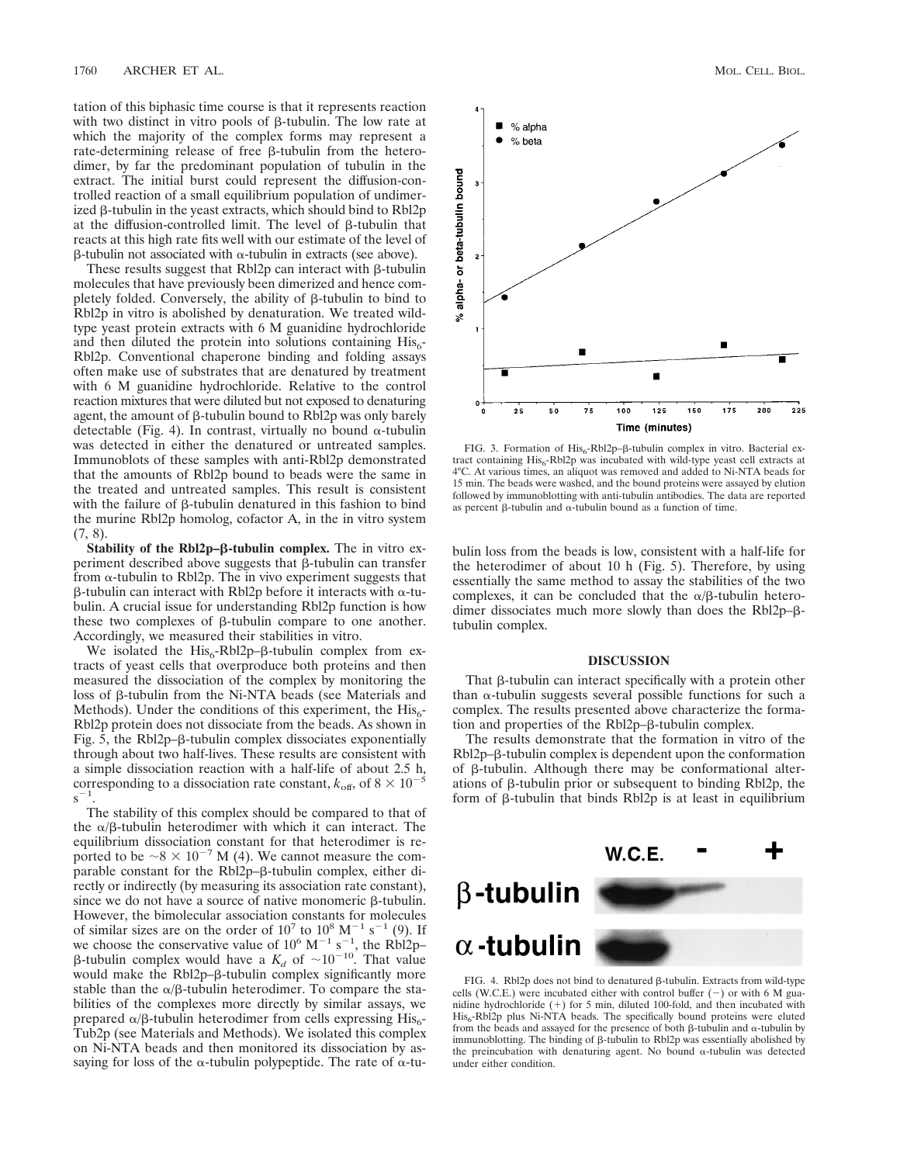tation of this biphasic time course is that it represents reaction with two distinct in vitro pools of  $\beta$ -tubulin. The low rate at which the majority of the complex forms may represent a rate-determining release of free  $\beta$ -tubulin from the heterodimer, by far the predominant population of tubulin in the extract. The initial burst could represent the diffusion-controlled reaction of a small equilibrium population of undimerized  $\beta$ -tubulin in the yeast extracts, which should bind to Rbl2p at the diffusion-controlled limit. The level of  $\beta$ -tubulin that reacts at this high rate fits well with our estimate of the level of  $\beta$ -tubulin not associated with  $\alpha$ -tubulin in extracts (see above).

These results suggest that  $Rb12p$  can interact with  $\beta$ -tubulin molecules that have previously been dimerized and hence completely folded. Conversely, the ability of  $\beta$ -tubulin to bind to Rbl2p in vitro is abolished by denaturation. We treated wildtype yeast protein extracts with 6 M guanidine hydrochloride and then diluted the protein into solutions containing  $His<sub>6</sub>$ -Rbl2p. Conventional chaperone binding and folding assays often make use of substrates that are denatured by treatment with 6 M guanidine hydrochloride. Relative to the control reaction mixtures that were diluted but not exposed to denaturing agent, the amount of  $\beta$ -tubulin bound to Rbl2p was only barely detectable (Fig. 4). In contrast, virtually no bound  $\alpha$ -tubulin was detected in either the denatured or untreated samples. Immunoblots of these samples with anti-Rbl2p demonstrated that the amounts of Rbl2p bound to beads were the same in the treated and untreated samples. This result is consistent with the failure of  $\beta$ -tubulin denatured in this fashion to bind the murine Rbl2p homolog, cofactor A, in the in vitro system (7, 8).

**Stability of the Rbl2p-β-tubulin complex.** The in vitro experiment described above suggests that  $\beta$ -tubulin can transfer from  $\alpha$ -tubulin to Rbl2p. The in vivo experiment suggests that  $\beta$ -tubulin can interact with Rbl2p before it interacts with  $\alpha$ -tubulin. A crucial issue for understanding Rbl2p function is how these two complexes of  $\beta$ -tubulin compare to one another. Accordingly, we measured their stabilities in vitro.

We isolated the His<sub>6</sub>-Rbl2p– $\beta$ -tubulin complex from extracts of yeast cells that overproduce both proteins and then measured the dissociation of the complex by monitoring the loss of β-tubulin from the Ni-NTA beads (see Materials and Methods). Under the conditions of this experiment, the  $His<sub>6</sub>$ -Rbl2p protein does not dissociate from the beads. As shown in Fig. 5, the  $Rb12p-\beta$ -tubulin complex dissociates exponentially through about two half-lives. These results are consistent with a simple dissociation reaction with a half-life of about 2.5 h, corresponding to a dissociation rate constant,  $k_{\text{off}}$ , of  $8 \times 10^{-5}$  $s^{-1}$ .

The stability of this complex should be compared to that of the  $\alpha/\beta$ -tubulin heterodimer with which it can interact. The equilibrium dissociation constant for that heterodimer is reported to be  $\sim 8 \times 10^{-7}$  M (4). We cannot measure the comparable constant for the  $Rb12p-\beta$ -tubulin complex, either directly or indirectly (by measuring its association rate constant), since we do not have a source of native monomeric  $\beta$ -tubulin. However, the bimolecular association constants for molecules of similar sizes are on the order of  $10^7$  to  $10^8$  M<sup>-1</sup> s<sup>-1</sup> (9). If we choose the conservative value of  $10^6$  M<sup>-1</sup> s<sup>-1</sup>, the Rbl2p-<br> $\beta$ -tubulin complex would have a  $K_d$  of  $\sim 10^{-10}$ . That value would make the Rbl2p- $\beta$ -tubulin complex significantly more stable than the  $\alpha$ / $\beta$ -tubulin heterodimer. To compare the stabilities of the complexes more directly by similar assays, we prepared  $\alpha/\beta$ -tubulin heterodimer from cells expressing His<sub>6</sub>-Tub2p (see Materials and Methods). We isolated this complex on Ni-NTA beads and then monitored its dissociation by assaying for loss of the  $\alpha$ -tubulin polypeptide. The rate of  $\alpha$ -tu-



FIG. 3. Formation of  $His_{6}$ -Rbl2p- $\beta$ -tubulin complex in vitro. Bacterial extract containing His<sub>6</sub>-Rbl2p was incubated with wild-type yeast cell extracts at 4°C. At various times, an aliquot was removed and added to Ni-NTA beads for 15 min. The beads were washed, and the bound proteins were assayed by elution followed by immunoblotting with anti-tubulin antibodies. The data are reported as percent  $\beta$ -tubulin and  $\alpha$ -tubulin bound as a function of time.

bulin loss from the beads is low, consistent with a half-life for the heterodimer of about 10 h (Fig. 5). Therefore, by using essentially the same method to assay the stabilities of the two complexes, it can be concluded that the  $\alpha/\beta$ -tubulin heterodimer dissociates much more slowly than does the Rbl2p-βtubulin complex.

### **DISCUSSION**

That  $\beta$ -tubulin can interact specifically with a protein other than  $\alpha$ -tubulin suggests several possible functions for such a complex. The results presented above characterize the formation and properties of the  $Rb12p-\beta$ -tubulin complex.

The results demonstrate that the formation in vitro of the Rbl2p– $\beta$ -tubulin complex is dependent upon the conformation of  $\beta$ -tubulin. Although there may be conformational alterations of  $\beta$ -tubulin prior or subsequent to binding Rbl2p, the form of  $\beta$ -tubulin that binds Rbl2p is at least in equilibrium



FIG. 4. Rbl2p does not bind to denatured  $\beta$ -tubulin. Extracts from wild-type cells (W.C.E.) were incubated either with control buffer  $(-)$  or with 6 M guanidine hydrochloride  $(+)$  for 5 min, diluted 100-fold, and then incubated with  $His<sub>6</sub> - Rb12p$  plus Ni-NTA beads. The specifically bound proteins were eluted from the beads and assayed for the presence of both  $\beta$ -tubulin and  $\alpha$ -tubulin by immunoblotting. The binding of  $\beta$ -tubulin to Rbl2p was essentially abolished by the preincubation with denaturing agent. No bound  $\alpha$ -tubulin was detected under either condition.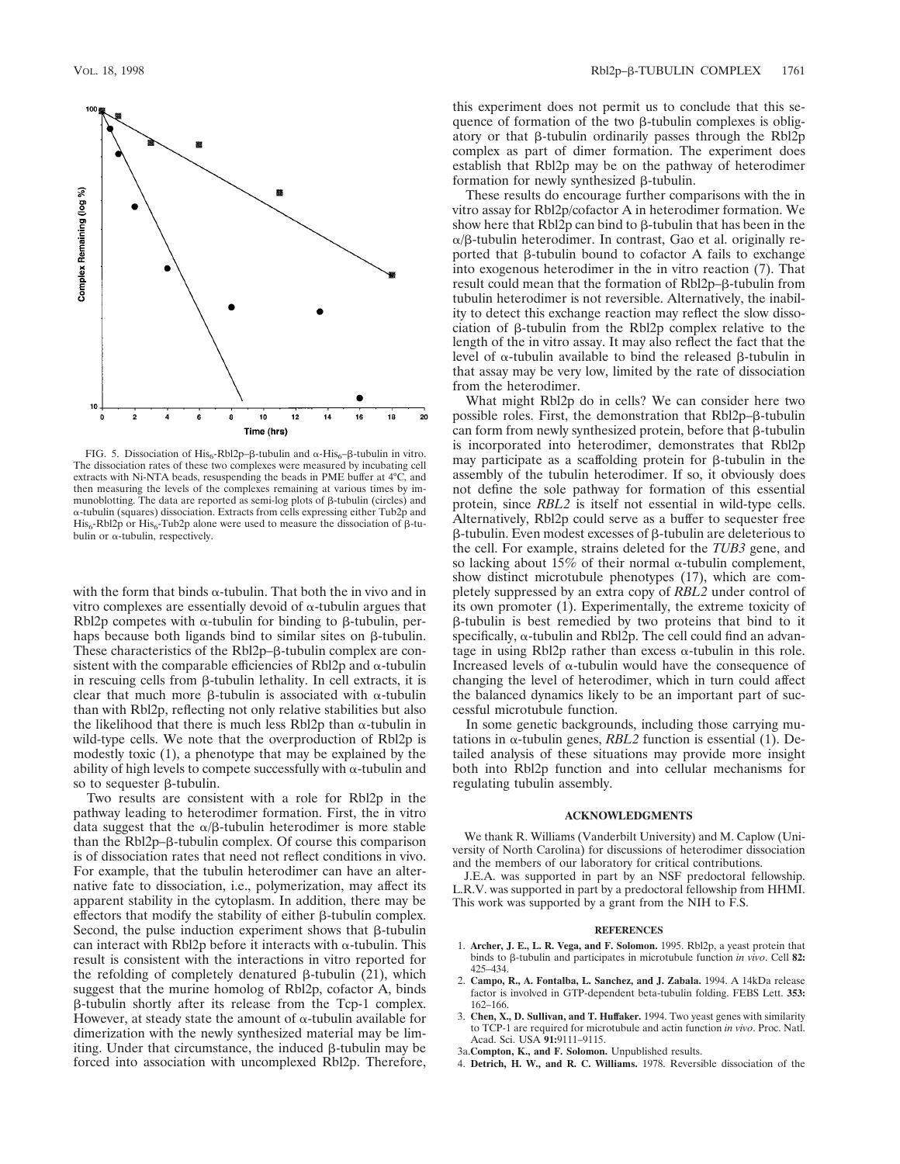

FIG. 5. Dissociation of  $\mathrm{His}_6$ -Rbl2p- $\beta$ -tubulin and  $\alpha$ -His $_6$ - $\beta$ -tubulin in vitro. The dissociation rates of these two complexes were measured by incubating cell extracts with Ni-NTA beads, resuspending the beads in PME buffer at 4°C, and then measuring the levels of the complexes remaining at various times by immunoblotting. The data are reported as semi-log plots of  $\beta$ -tubulin (circles) and  $\alpha$ -tubulin (squares) dissociation. Extracts from cells expressing either Tub2p and His<sub>6</sub>-Rbl2p or His<sub>6</sub>-Tub2p alone were used to measure the dissociation of  $\beta$ -tubulin or  $\alpha$ -tubulin, respectively.

with the form that binds  $\alpha$ -tubulin. That both the in vivo and in vitro complexes are essentially devoid of  $\alpha$ -tubulin argues that Rbl2p competes with  $\alpha$ -tubulin for binding to  $\beta$ -tubulin, perhaps because both ligands bind to similar sites on  $\beta$ -tubulin. These characteristics of the Rbl2p– $\beta$ -tubulin complex are consistent with the comparable efficiencies of Rbl2p and  $\alpha$ -tubulin in rescuing cells from  $\beta$ -tubulin lethality. In cell extracts, it is clear that much more  $\beta$ -tubulin is associated with  $\alpha$ -tubulin than with Rbl2p, reflecting not only relative stabilities but also the likelihood that there is much less Rbl2p than  $\alpha$ -tubulin in wild-type cells. We note that the overproduction of Rbl2p is modestly toxic (1), a phenotype that may be explained by the ability of high levels to compete successfully with  $\alpha$ -tubulin and so to sequester  $\beta$ -tubulin.

Two results are consistent with a role for Rbl2p in the pathway leading to heterodimer formation. First, the in vitro data suggest that the  $\alpha/\beta$ -tubulin heterodimer is more stable than the  $Rb12p-\beta$ -tubulin complex. Of course this comparison is of dissociation rates that need not reflect conditions in vivo. For example, that the tubulin heterodimer can have an alternative fate to dissociation, i.e., polymerization, may affect its apparent stability in the cytoplasm. In addition, there may be effectors that modify the stability of either  $\beta$ -tubulin complex. Second, the pulse induction experiment shows that  $\beta$ -tubulin can interact with Rbl2p before it interacts with  $\alpha$ -tubulin. This result is consistent with the interactions in vitro reported for the refolding of completely denatured  $\beta$ -tubulin (21), which suggest that the murine homolog of Rbl2p, cofactor A, binds b-tubulin shortly after its release from the Tcp-1 complex. However, at steady state the amount of  $\alpha$ -tubulin available for dimerization with the newly synthesized material may be limiting. Under that circumstance, the induced  $\beta$ -tubulin may be forced into association with uncomplexed Rbl2p. Therefore,

this experiment does not permit us to conclude that this sequence of formation of the two  $\beta$ -tubulin complexes is obligatory or that  $\beta$ -tubulin ordinarily passes through the Rbl2p complex as part of dimer formation. The experiment does establish that Rbl2p may be on the pathway of heterodimer formation for newly synthesized  $\beta$ -tubulin.

These results do encourage further comparisons with the in vitro assay for Rbl2p/cofactor A in heterodimer formation. We show here that  $Rb12p$  can bind to  $\beta$ -tubulin that has been in the  $\alpha/\beta$ -tubulin heterodimer. In contrast, Gao et al. originally reported that  $\beta$ -tubulin bound to cofactor A fails to exchange into exogenous heterodimer in the in vitro reaction (7). That result could mean that the formation of Rbl2p- $\beta$ -tubulin from tubulin heterodimer is not reversible. Alternatively, the inability to detect this exchange reaction may reflect the slow dissociation of  $\beta$ -tubulin from the Rbl2p complex relative to the length of the in vitro assay. It may also reflect the fact that the level of  $\alpha$ -tubulin available to bind the released  $\beta$ -tubulin in that assay may be very low, limited by the rate of dissociation from the heterodimer.

What might Rbl2p do in cells? We can consider here two possible roles. First, the demonstration that Rbl2p–B-tubulin can form from newly synthesized protein, before that  $\beta$ -tubulin is incorporated into heterodimer, demonstrates that Rbl2p may participate as a scaffolding protein for  $\beta$ -tubulin in the assembly of the tubulin heterodimer. If so, it obviously does not define the sole pathway for formation of this essential protein, since *RBL2* is itself not essential in wild-type cells. Alternatively, Rbl2p could serve as a buffer to sequester free  $\beta$ -tubulin. Even modest excesses of  $\beta$ -tubulin are deleterious to the cell. For example, strains deleted for the *TUB3* gene, and so lacking about 15% of their normal  $\alpha$ -tubulin complement, show distinct microtubule phenotypes (17), which are completely suppressed by an extra copy of *RBL2* under control of its own promoter (1). Experimentally, the extreme toxicity of b-tubulin is best remedied by two proteins that bind to it specifically,  $\alpha$ -tubulin and Rbl2p. The cell could find an advantage in using Rbl2p rather than excess  $\alpha$ -tubulin in this role. Increased levels of  $\alpha$ -tubulin would have the consequence of changing the level of heterodimer, which in turn could affect the balanced dynamics likely to be an important part of successful microtubule function.

In some genetic backgrounds, including those carrying mutations in  $\alpha$ -tubulin genes, *RBL2* function is essential (1). Detailed analysis of these situations may provide more insight both into Rbl2p function and into cellular mechanisms for regulating tubulin assembly.

#### **ACKNOWLEDGMENTS**

We thank R. Williams (Vanderbilt University) and M. Caplow (University of North Carolina) for discussions of heterodimer dissociation and the members of our laboratory for critical contributions.

J.E.A. was supported in part by an NSF predoctoral fellowship. L.R.V. was supported in part by a predoctoral fellowship from HHMI. This work was supported by a grant from the NIH to F.S.

#### **REFERENCES**

- 1. **Archer, J. E., L. R. Vega, and F. Solomon.** 1995. Rbl2p, a yeast protein that binds to b-tubulin and participates in microtubule function *in vivo*. Cell **82:** 425–434.
- 2. **Campo, R., A. Fontalba, L. Sanchez, and J. Zabala.** 1994. A 14kDa release factor is involved in GTP-dependent beta-tubulin folding. FEBS Lett. **353:** 162–166.
- 3. **Chen, X., D. Sullivan, and T. Huffaker.** 1994. Two yeast genes with similarity to TCP-1 are required for microtubule and actin function *in vivo*. Proc. Natl. Acad. Sci. USA **91:**9111–9115.
- 3a.**Compton, K., and F. Solomon.** Unpublished results.
- 4. **Detrich, H. W., and R. C. Williams.** 1978. Reversible dissociation of the